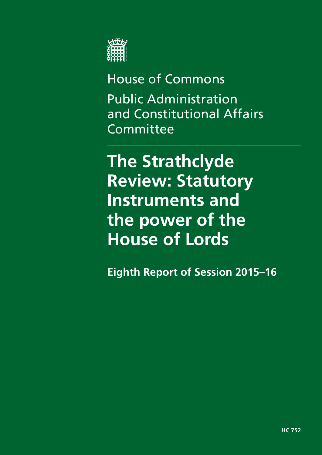

# House of Commons Public Administration and Constitutional Affairs Committee

**The Strathclyde Review: Statutory Instruments and the power of the House of Lords** 

**Eighth Report of Session 2015–16**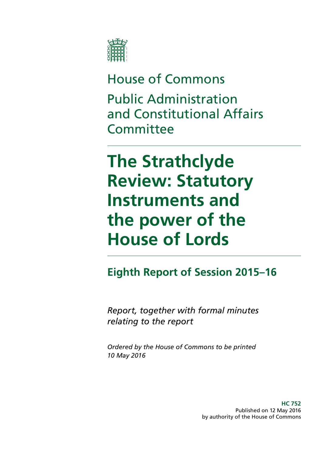

# House of Commons Public Administration and Constitutional Affairs **Committee**

# **The Strathclyde Review: Statutory Instruments and the power of the House of Lords**

## **Eighth Report of Session 2015–16**

*Report, together with formal minutes relating to the report* 

*Ordered by the House of Commons to be printed 10 May 2016*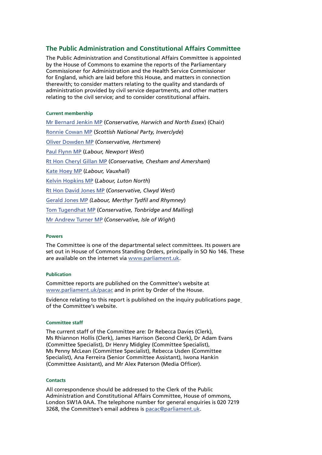### **The Public Administration and Constitutional Affairs Committee**

The Public Administration and Constitutional Affairs Committee is appointed by the House of Commons to examine the reports of the Parliamentary Commissioner for Administration and the Health Service Commissioner for England, which are laid before this House, and matters in connection therewith; to consider matters relating to the quality and standards of administration provided by civil service departments, and other matters relating to the civil service; and to consider constitutional affairs.

#### **Current membership**

[Mr Bernard Jenkin MP](http://www.parliament.uk/biographies/commons/mr-bernard-jenkin/40) (*Conservative, Harwich and North Essex*) (Chair) [Ronnie Cowan MP](http://www.parliament.uk/biographies/commons/ronnie-cowan/4465) (*Scottish National Party, Inverclyde*) [Oliver Dowden MP](http://www.parliament.uk/biographies/commons/oliver-dowden/4441) (*Conservative, Hertsmere*) [Paul Flynn MP](http://www.parliament.uk/biographies/commons/paul-flynn/545) (*Labour, Newport West*) [Rt Hon Cheryl Gillan MP](http://www.parliament.uk/biographies/commons/mrs-cheryl-gillan/18) (*Conservative, Chesham and Amersham*) [Kate Hoey MP](http://www.parliament.uk/biographies/commons/kate-hoey/210) (*Labour, Vauxhall*) [Kelvin Hopkins MP](http://www.parliament.uk/biographies/commons/kelvin-hopkins/2) (*Labour, Luton North*) [Rt Hon David Jones MP](http://www.parliament.uk/biographies/commons/mr-david-jones/1502) (*Conservative, Clwyd West*) [Gerald Jones MP](http://www.parliament.uk/biographies/commons/gerald-jones/4501) *(Labour, Merthyr Tydfil and Rhymney*) [Tom Tugendhat MP](http://www.parliament.uk/biographies/commons/tom-tugendhat/4462) (*Conservative, Tonbridge and Malling*) [Mr Andrew Turner MP](http://www.parliament.uk/biographies/commons/mr-andrew-turner/1426) (*Conservative, Isle of Wight*)

#### **Powers**

The Committee is one of the departmental select committees. Its powers are set out in House of Commons Standing Orders, principally in SO No 146. These are available on the internet via [www.parliament.uk.](www.parliament.uk)

#### **Publication**

Committee reports are published on the Committee's website at <www.parliament.uk/pacac>and in print by Order of the House.

Evidence relating to this report is published on the [inquiry publications page](http://www.parliament.uk/business/committees/committees-a-z/commons-select/public-administration-and-constitutional-affairs-committee/inquiries/parliament-2015/inquiry1/publications/) of the Committee's website.

#### **Committee staff**

The current staff of the Committee are: Dr Rebecca Davies (Clerk), Ms Rhiannon Hollis (Clerk), James Harrison (Second Clerk), Dr Adam Evans (Committee Specialist), Dr Henry Midgley (Committee Specialist), Ms Penny McLean (Committee Specialist), Rebecca Usden (Committee Specialist), Ana Ferreira (Senior Committee Assistant), Iwona Hankin (Committee Assistant), and Mr Alex Paterson (Media Officer).

#### **Contacts**

All correspondence should be addressed to the Clerk of the Public Administration and Constitutional Affairs Committee, House of ommons, London SW1A 0AA. The telephone number for general enquiries is 020 7219 3268, the Committee's email address is [pacac@parliament.uk.](mailto:pacac%40parliament.uk?subject=)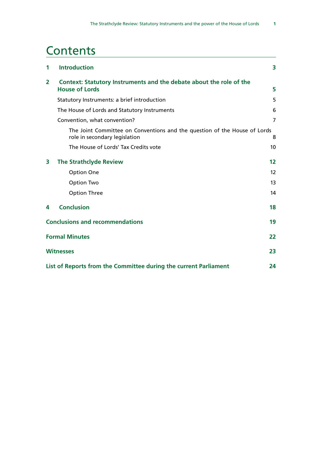## **Contents**

| 1                     | <b>Introduction</b>                                                                                        | 3              |
|-----------------------|------------------------------------------------------------------------------------------------------------|----------------|
| $\overline{2}$        | Context: Statutory Instruments and the debate about the role of the<br><b>House of Lords</b>               | 5              |
|                       | Statutory Instruments: a brief introduction                                                                | 5              |
|                       |                                                                                                            |                |
|                       | The House of Lords and Statutory Instruments                                                               | 6              |
|                       | Convention, what convention?                                                                               | $\overline{7}$ |
|                       | The Joint Committee on Conventions and the question of the House of Lords<br>role in secondary legislation | 8              |
|                       | The House of Lords' Tax Credits vote                                                                       | 10             |
| 3                     | <b>The Strathclyde Review</b>                                                                              | 12             |
|                       | Option One                                                                                                 | 12             |
|                       | Option Two                                                                                                 | 13             |
|                       | <b>Option Three</b>                                                                                        | 14             |
| 4                     | <b>Conclusion</b>                                                                                          | 18             |
|                       | <b>Conclusions and recommendations</b>                                                                     | 19             |
| <b>Formal Minutes</b> |                                                                                                            |                |
|                       | <b>Witnesses</b>                                                                                           | 23             |
|                       | List of Reports from the Committee during the current Parliament                                           | 24             |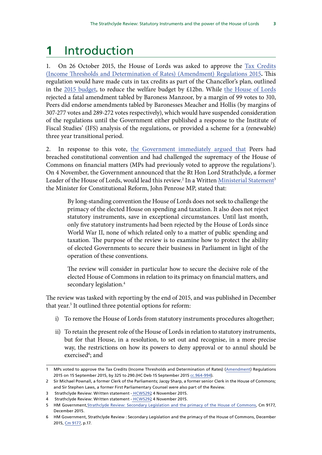## <span id="page-6-0"></span>**1** Introduction

1. On 26 October 2015, the House of Lords was asked to approve the [Tax Credits](http://www.legislation.gov.uk/ukdsi/2015/9780111138946) [\(Income Thresholds and Determination of Rates\) \(Amendment\) Regulations 2015](http://www.legislation.gov.uk/ukdsi/2015/9780111138946)**.** This regulation would have made cuts in tax credits as part of the Chancellor's plan, outlined in the [2015 budget,](http://www.bbc.co.uk/news/business-33429390) to reduce the welfare budget by £12bn. While [the House of Lords](http://www.publications.parliament.uk/pa/ld201516/minutes/151027/ldordpap.htm#minproc) rejected a fatal amendment tabled by Baroness Manzoor, by a margin of 99 votes to 310, Peers did endorse amendments tabled by Baronesses Meacher and Hollis (by margins of 307-277 votes and 289-272 votes respectively), which would have suspended consideration of the regulations until the Government either published a response to the Institute of Fiscal Studies' (IFS) analysis of the regulations, or provided a scheme for a (renewable) three year transitional period.

2. In response to this vote, [the Government immediately argued](http://www.theguardian.com/money/2015/oct/26/tax-credit-cuts-halted-as-lords-vote-to-protect-low-income-earners) that Peers had breached constitutional convention and had challenged the supremacy of the House of Commons on financial matters (MPs had previously voted to approve the regulations<sup>1</sup>). On 4 November, the Government announced that the Rt Hon Lord Strathclyde, a former Leader of the House of Lords, would lead this review.<sup>2</sup> In a Written <u>Ministerial Statement</u><sup>3</sup> the Minister for Constitutional Reform, John Penrose MP, stated that:

By long-standing convention the House of Lords does not seek to challenge the primacy of the elected House on spending and taxation. It also does not reject statutory instruments, save in exceptional circumstances. Until last month, only five statutory instruments had been rejected by the House of Lords since World War II, none of which related only to a matter of public spending and taxation. The purpose of the review is to examine how to protect the ability of elected Governments to secure their business in Parliament in light of the operation of these conventions.

The review will consider in particular how to secure the decisive role of the elected House of Commons in relation to its primacy on financial matters, and secondary legislation.<sup>4</sup>

The review was tasked with reporting by the end of 2015, and was published in December that year.<sup>5</sup> It outlined three potential options for reform:

- i) To remove the House of Lords from statutory instruments procedures altogether;
- ii) To retain the present role of the House of Lords in relation to statutory instruments, but for that House, in a resolution, to set out and recognise, in a more precise way, the restrictions on how its powers to deny approval or to annul should be exercised<sup>6</sup>; and

<sup>1</sup> MPs voted to approve the Tax Credits (Income Thresholds and Determination of Rates) ([Amendment\)](http://www.parliament.uk/business/news/2015/september/commons-debate-statutory-instrument-on-tax-credits/) Regulations 2015 on 15 September 2015, by 325 to 290.(HC Deb 15 September 2015 [cc.964-994](https://hansard.parliament.uk/commons/2015-09-15/debates/15091543000002/TaxCredits)).

<sup>2</sup> Sir Michael Pownall, a former Clerk of the Parliaments; Jacqy Sharp, a former senior Clerk in the House of Commons; and Sir Stephen Laws, a former First Parliamentary Counsel were also part of the Review.

<sup>3</sup> Strathclyde Review: Written statement - HCWS292 4 November 2015.

<sup>4</sup> Strathclyde Review: Written statement [- HCWS292,](http://www.parliament.uk/business/publications/written-questions-answers-statements/written-statement/Commons/2015-11-04/HCWS292/) 4 November 2015.

<sup>5</sup> HM Government, [Strathclyde Review: Secondary Legislation and the primacy of the House of Commons](https://www.gov.uk/government/uploads/system/uploads/attachment_data/file/486790/53088_Cm_9177_Web_Accessible.pdf), Cm 9177, December 2015.

<sup>6</sup> HM Government, Strathclyde Review : Secondary Legislation and the primacy of the House of Commons, December 2015, [Cm 9177](https://www.gov.uk/government/uploads/system/uploads/attachment_data/file/486791/53088_Cm_9177_PRINT.pdf), p.17.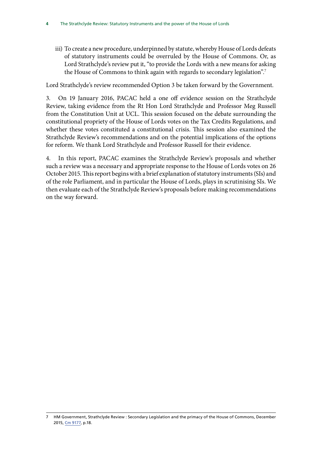iii) To create a new procedure, underpinned by statute, whereby House of Lords defeats of statutory instruments could be overruled by the House of Commons. Or, as Lord Strathclyde's review put it, "to provide the Lords with a new means for asking the House of Commons to think again with regards to secondary legislation".<sup>7</sup>

Lord Strathclyde's review recommended Option 3 be taken forward by the Government.

3. On 19 January 2016, PACAC held a one off evidence session on the Strathclyde Review, taking evidence from the Rt Hon Lord Strathclyde and Professor Meg Russell from the Constitution Unit at UCL. This session focused on the debate surrounding the constitutional propriety of the House of Lords votes on the Tax Credits Regulations, and whether these votes constituted a constitutional crisis. This session also examined the Strathclyde Review's recommendations and on the potential implications of the options for reform. We thank Lord Strathclyde and Professor Russell for their evidence.

4. In this report, PACAC examines the Strathclyde Review's proposals and whether such a review was a necessary and appropriate response to the House of Lords votes on 26 October 2015. This report begins with a brief explanation of statutory instruments (SIs) and of the role Parliament, and in particular the House of Lords, plays in scrutinising SIs. We then evaluate each of the Strathclyde Review's proposals before making recommendations on the way forward.

HM Government, Strathclyde Review : Secondary Legislation and the primacy of the House of Commons, December 2015, [Cm 9177](https://www.gov.uk/government/uploads/system/uploads/attachment_data/file/486791/53088_Cm_9177_PRINT.pdf), p.18. 7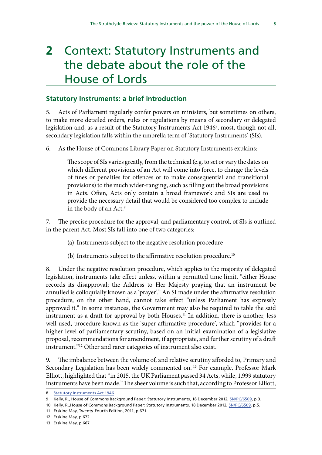# <span id="page-8-0"></span>**2** Context: Statutory Instruments and the debate about the role of the House of Lords

## **Statutory Instruments: a brief introduction**

5. Acts of Parliament regularly confer powers on ministers, but sometimes on others, to make more detailed orders, rules or regulations by means of secondary or delegated legislation and, as a result of the Statutory Instruments Act 1946<sup>8</sup>, most, though not all, secondary legislation falls within the umbrella term of 'Statutory Instruments' (SIs).

6. As the House of Commons Library Paper on Statutory Instruments explains:

The scope of SIs varies greatly, from the technical (e.g. to set or vary the dates on which different provisions of an Act will come into force, to change the levels of fines or penalties for offences or to make consequential and transitional provisions) to the much wider-ranging, such as filling out the broad provisions in Acts. Often, Acts only contain a broad framework and SIs are used to provide the necessary detail that would be considered too complex to include in the body of an Act.9

7. The precise procedure for the approval, and parliamentary control, of SIs is outlined in the parent Act. Most SIs fall into one of two categories:

- (a) Instruments subject to the negative resolution procedure
- (b) Instruments subject to the affirmative resolution procedure.<sup>10</sup>

8. Under the negative resolution procedure, which applies to the majority of delegated legislation, instruments take effect unless, within a permitted time limit, "either House records its disapproval; the Address to Her Majesty praying that an instrument be annulled is colloquially known as a 'prayer'." An SI made under the affirmative resolution procedure, on the other hand, cannot take effect "unless Parliament has expressly approved it." In some instances, the Government may also be required to table the said instrument as a draft for approval by both Houses.<sup>11</sup> In addition, there is another, less well-used, procedure known as the 'super-affirmative procedure', which "provides for a higher level of parliamentary scrutiny, based on an initial examination of a legislative proposal, recommendations for amendment, if appropriate, and further scrutiny of a draft instrument."12 Other and rarer categories of instrument also exist.

9. The imbalance between the volume of, and relative scrutiny afforded to, Primary and Secondary Legislation has been widely commented on. 13 For example, Professor Mark Elliott, highlighted that "in 2015, the UK Parliament passed 34 Acts, while, 1,999 statutory instruments have been made." The sheer volume is such that, according to Professor Elliott,

<sup>8</sup> [Statutory Instruments Act 1946.](http://www.legislation.gov.uk/ukpga/Geo6/9-10/36/contents)

<sup>9</sup> Kelly, R., House of Commons Background Paper: Statutory Instruments, 18 December 2012, [SN/PC/6509,](http://researchbriefings.parliament.uk/ResearchBriefing/Summary/SN06509) p.3.

<sup>10</sup> Kelly, R.,House of Commons Background Paper: Statutory Instruments, 18 December 2012, [SN/PC/6509,](http://researchbriefings.parliament.uk/ResearchBriefing/Summary/SN06509) p.5.

<sup>11</sup> Erskine May, Twenty-Fourth Edition, 2011, p.671.

<sup>12</sup> Erskine May, p.672.

<sup>13</sup> Erskine May, p.667.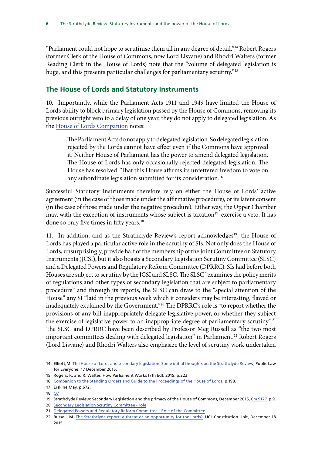<span id="page-9-0"></span>"Parliament could not hope to scrutinise them all in any degree of detail."14 Robert Rogers (former Clerk of the House of Commons, now Lord Lisvane) and Rhodri Walters (former Reading Clerk in the House of Lords) note that the "volume of delegated legislation is huge, and this presents particular challenges for parliamentary scrutiny."15

## **The House of Lords and Statutory Instruments**

10. Importantly, while the Parliament Acts 1911 and 1949 have limited the House of Lords ability to block primary legislation passed by the House of Commons, removing its previous outright veto to a delay of one year, they do not apply to delegated legislation. As the [House of Lords Companion](http://www.parliament.uk/documents/publications-records/House-of-Lords-Publications/Rules-guides-for-business/Companion-to-standing-orders/Companion-to-Standing-Order-2015.pdf) notes:

The Parliament Acts do not apply to delegated legislation. So delegated legislation rejected by the Lords cannot have effect even if the Commons have approved it. Neither House of Parliament has the power to amend delegated legislation. The House of Lords has only occasionally rejected delegated legislation. The House has resolved "That this House affirms its unfettered freedom to vote on any subordinate legislation submitted for its consideration.<sup>16</sup>

Successful Statutory Instruments therefore rely on either the House of Lords' active agreement (in the case of those made under the affirmative procedure), or its latent consent (in the case of those made under the negative procedure). Either way, the Upper Chamber may, with the exception of instruments whose subject is taxation<sup>17</sup>, exercise a veto. It has done so only five times in fifty years.<sup>18</sup>

important committees dealing with delegated legislation" in Parliament.<sup>22</sup> Robert Rogers 11. In addition, and as the Strathclyde Review's report acknowledges<sup>19</sup>, the House of Lords has played a particular active role in the scrutiny of SIs. Not only does the House of Lords, unsurprisingly, provide half of the membership of the Joint Committee on Statutory Instruments (JCSI), but it also boasts a Secondary Legislation Scrutiny Committee (SLSC) and a Delegated Powers and Regulatory Reform Committee (DPRRC). SIs laid before both Houses are subject to scrutiny by the JCSI and SLSC. The SLSC "examines the policy merits of regulations and other types of secondary legislation that are subject to parliamentary procedure" and through its reports, the SLSC can draw to the "special attention of the House" any SI "laid in the previous week which it considers may be interesting, flawed or inadequately explained by the Government."20 The DPRRC's role is "to report whether the provisions of any bill inappropriately delegate legislative power, or whether they subject the exercise of legislative power to an inappropriate degree of parliamentary scrutiny".<sup>21</sup> The SLSC and DPRRC have been described by Professor Meg Russell as "the two most (Lord Lisvane) and Rhodri Walters also emphasize the level of scrutiny work undertaken

<sup>14</sup> Elliott,M. [The House of Lords and secondary legislation: Some initial thoughts on the Strathclyde Review,](https://publiclawforeveryone.com/2015/12/17/the-house-of-lords-and-secondary-legislation-some-initial-thoughts-on-the-strathclyde-review/) Public Law for Everyone, 17 December 2015.

<sup>15</sup> Rogers, R. and R. Walter, How Parliament Works (7th Ed), 2015, p.223.

<sup>16</sup> [Companion to the Standing Orders and Guide to the Proceedings of the House of Lords](https://www.parliament.uk/business/publications/house-of-lords-publications/rules-and-guides-for-business/companion-to-the-standing-orders/), p.198.

<sup>17</sup> Erskine May, p.672.

<sup>18</sup> [Q7](http://data.parliament.uk/writtenevidence/committeeevidence.svc/evidencedocument/public-administration-and-constitutional-affairs-committee/strathclyde-review/oral/27335.pdf) 

<sup>19</sup> Strathclyde Review: Secondary Legislation and the primacy of the House of Commons, December 2015, [Cm 9177](https://www.gov.uk/government/uploads/system/uploads/attachment_data/file/486791/53088_Cm_9177_PRINT.pdf), p.9.

<sup>20</sup> [Secondary Legislation Scrutiny Committee - role.](http://www.parliament.uk/business/committees/committees-a-z/lords-select/secondary-legislation-scrutiny-committee/role/)

<sup>21</sup> [Delegated Powers and Regulatory Reform Committee - Role of the Committee.](http://www.parliament.uk/business/committees/committees-a-z/lords-select/delegated-powers-and-regulatory-reform-committee/role/)

<sup>22</sup> Russell, M. [The Strathclyde report: a threat or an opportunity for the Lords?,](http://constitution-unit.com/2015/12/18/the-strathclyde-report-a-threat-or-an-opportunity-for-the-lords/) UCL Constitution Unit, December 18 2015.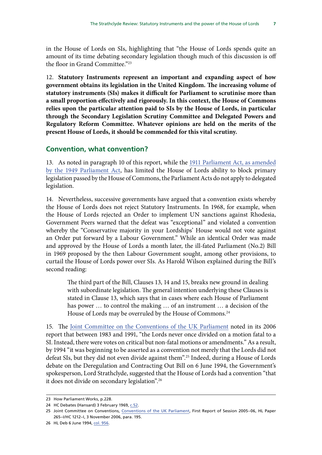<span id="page-10-0"></span>in the House of Lords on SIs, highlighting that "the House of Lords spends quite an amount of its time debating secondary legislation though much of this discussion is off the floor in Grand Committee."23

12. **Statutory Instruments represent an important and expanding aspect of how government obtains its legislation in the United Kingdom. The increasing volume of statutory instruments (SIs) makes it difficult for Parliament to scrutinise more than a small proportion effectively and rigorously. In this context, the House of Commons relies upon the particular attention paid to SIs by the House of Lords, in particular through the Secondary Legislation Scrutiny Committee and Delegated Powers and Regulatory Reform Committee. Whatever opinions are held on the merits of the present House of Lords, it should be commended for this vital scrutiny.** 

### **Convention, what convention?**

13. As noted in paragraph 10 of this report, while the [1911 Parliament Act, as amended](http://www.legislation.gov.uk/ukpga/Geo5/1-2/13/section/2) [by the 1949 Parliament Act](http://www.legislation.gov.uk/ukpga/Geo5/1-2/13/section/2), has limited the House of Lords ability to block primary legislation passed by the House of Commons, the Parliament Acts do not apply to delegated legislation.

14. Nevertheless, successive governments have argued that a convention exists whereby the House of Lords does not reject Statutory Instruments. In 1968, for example, when the House of Lords rejected an Order to implement UN sanctions against Rhodesia, Government Peers warned that the defeat was "exceptional" and violated a convention whereby the "Conservative majority in your Lordships' House would not vote against an Order put forward by a Labour Government." While an identical Order was made and approved by the House of Lords a month later, the ill-fated Parliament (No.2) Bill in 1969 proposed by the then Labour Government sought, among other provisions, to curtail the House of Lords power over SIs. As Harold Wilson explained during the Bill's second reading:

The third part of the Bill, Clauses 13, 14 and 15, breaks new ground in dealing with subordinate legislation. The general intention underlying these Clauses is stated in Clause 13, which says that in cases where each House of Parliament has power … to control the making … of an instrument … a decision of the House of Lords may be overruled by the House of Commons.<sup>24</sup>

15. The [Joint Committee on the Conventions of the UK Parliament](http://www.publications.parliament.uk/pa/jt200506/jtselect/jtconv/265/265.pdf) noted in its 2006 report that between 1983 and 1991, "the Lords never once divided on a motion fatal to a SI. Instead, there were votes on critical but non-fatal motions or amendments." As a result, by 1994 "it was beginning to be asserted as a convention not merely that the Lords did not defeat SIs, but they did not even divide against them".25 Indeed, during a House of Lords debate on the Deregulation and Contracting Out Bill on 6 June 1994, the Government's spokesperson, Lord Strathclyde, suggested that the House of Lords had a convention "that it does not divide on secondary legislation".26

<sup>23</sup> How Parliament Works, p.228.

<sup>24</sup> HC Debates (Hansard) 3 February 1969, c.52.

<sup>25</sup> Joint Committee on Conventions, [Conventions of the UK Parliament](http://www.publications.parliament.uk/pa/jt200506/jtselect/jtconv/265/265.pdf), First Report of Session 2005–06, HL Paper 265–I/HC 1212–I, 3 November 2006, para. 195.

<sup>26</sup> HL Deb 6 June 1994, col. 956.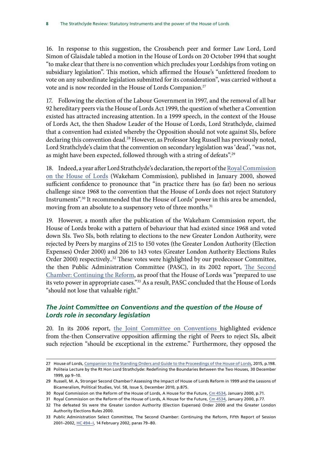<span id="page-11-0"></span>16. In response to this suggestion, the Crossbench peer and former Law Lord, Lord Simon of Glaisdale tabled a motion in the House of Lords on 20 October 1994 that sought "to make clear that there is no convention which precludes your Lordships from voting on subsidiary legislation". This motion, which affirmed the House's "unfettered freedom to vote on any subordinate legislation submitted for its consideration", was carried without a vote and is now recorded in the House of Lords Companion.27

17. Following the election of the Labour Government in 1997, and the removal of all bar 92 hereditary peers via the House of Lords Act 1999, the question of whether a Convention existed has attracted increasing attention. In a 1999 speech, in the context of the House of Lords Act, the then Shadow Leader of the House of Lords, Lord Strathclyde, claimed that a convention had existed whereby the Opposition should not vote against SIs, before declaring this convention dead.<sup>28</sup> However, as Professor Meg Russell has previously noted, Lord Strathclyde's claim that the convention on secondary legislation was 'dead', "was not, as might have been expected, followed through with a string of defeats".<sup>29</sup>

18. Indeed, a year after Lord Strathclyde's declaration, the report of the [Royal Commission](https://www.gov.uk/government/uploads/system/uploads/attachment_data/file/266071/chap7.pdf) [on the House of Lords](https://www.gov.uk/government/uploads/system/uploads/attachment_data/file/266071/chap7.pdf) (Wakeham Commission), published in January 2000, showed sufficient confidence to pronounce that "in practice there has (so far) been no serious challenge since 1968 to the convention that the House of Lords does not reject Statutory Instruments".30 It recommended that the House of Lords' power in this area be amended, moving from an absolute to a suspensory veto of three months.<sup>31</sup>

19. However, a month after the publication of the Wakeham Commission report, the House of Lords broke with a pattern of behaviour that had existed since 1968 and voted down SIs. Two SIs, both relating to elections to the new Greater London Authority, were rejected by Peers by margins of 215 to 150 votes (the Greater London Authority (Election Expenses) Order 2000) and 206 to 143 votes (Greater London Authority Elections Rules Order 2000) respectively..<sup>32</sup> These votes were highlighted by our predecessor Committee, the then Public Administration Committee (PASC), in its 2002 report, The Second Chamber: Continuing the Reform, as proof that the House of Lords was "prepared to use its veto power in appropriate cases."33 As a result, PASC concluded that the House of Lords "should not lose that valuable right."

## *The Joint Committee on Conventions and the question of the House of Lords role in secondary legislation*

20. In its 2006 report, [the Joint Committee](http://www.publications.parliament.uk/pa/jt200506/jtselect/jtconv/265/265.pdf) on Conventions highlighted evidence from the-then Conservative opposition affirming the right of Peers to reject SIs, albeit such rejection "should be exceptional in the extreme." Furthermore, they opposed the

<sup>27</sup> House of Lords, [Companion to the Standing Orders and Guide to the Proceedings of the House of Lords,](http://www.parliament.uk/documents/publications-records/House-of-Lords-Publications/Rules-guides-for-business/Companion-to-standing-orders/Companion-to-Standing-Order-2015.pdf) 2015, p.198.

<sup>28</sup> Politeia Lecture by the Rt Hon Lord Strathclyde: Redefining the Boundaries Between the Two Houses, 30 December 1999, pp 9–10.

<sup>29</sup> Russell, M. A, Stronger Second Chamber? Assessing the Impact of House of Lords Reform in 1999 and the Lessons of Bicameralism, Political Studies, Vol. 58, Issue 5, December 2010, p.875.

<sup>30</sup> Royal Commission on the Reform of the House of Lords, A House for the Future, [Cm 4534](https://www.gov.uk/government/uploads/system/uploads/attachment_data/file/266071/chap7.pdf), January 2000, p.71.

<sup>31</sup> Royal Commission on the Reform of the House of Lords, A House for the Future, [Cm 4534](https://www.gov.uk/government/uploads/system/uploads/attachment_data/file/266071/chap7.pdf), January 2000, p.77.

<sup>32</sup> The defeated SIs were the Greater London Authority (Election Expenses) Order 2000 and the Greater London Authority Elections Rules 2000.

<sup>33</sup> Public Administration Select Committee, The Second Chamber: Continuing the Reform, Fifth Report of Session 2001–2002, [HC 494–I,](http://www.publications.parliament.uk/pa/cm200102/cmselect/cmpubadm/494/49402.htm) 14 February 2002, paras 79–80.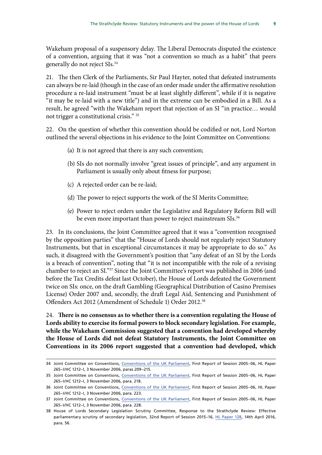21. The then Clerk of the Parliaments, Sir Paul Hayter, noted that defeated instruments can always be re-laid (though in the case of an order made under the affirmative resolution procedure a re-laid instrument "must be at least slightly different", while if it is negative "it may be re-laid with a new title") and in the extreme can be embodied in a Bill. As a result, he agreed "with the Wakeham report that rejection of an SI "in practice… would not trigger a constitutional crisis." 35

22. On the question of whether this convention should be codified or not, Lord Norton outlined the several objections in his evidence to the Joint Committee on Conventions:

- (a) It is not agreed that there is any such convention;
- (b) SIs do not normally involve "great issues of principle", and any argument in Parliament is usually only about fitness for purpose;
- (c) A rejected order can be re-laid;
- (d) The power to reject supports the work of the SI Merits Committee;
- (e) Power to reject orders under the Legislative and Regulatory Reform Bill will be even more important than power to reject mainstream SIs.<sup>36</sup>

23. In its conclusions, the Joint Committee agreed that it was a "convention recognised by the opposition parties" that the "House of Lords should not regularly reject Statutory Instruments, but that in exceptional circumstances it may be appropriate to do so." As such, it disagreed with the Government's position that "any defeat of an SI by the Lords is a breach of convention", noting that "it is not incompatible with the role of a revising chamber to reject an SI."37 Since the Joint Committee's report was published in 2006 (and before the Tax Credits defeat last October), the House of Lords defeated the Government twice on SIs: once, on the draft Gambling (Geographical Distribution of Casino Premises License) Order 2007 and, secondly, the draft Legal Aid, Sentencing and Punishment of Offenders Act 2012 (Amendment of Schedule 1) Order 2012.38

24. **There is no consensus as to whether there is a convention regulating the House of Lords ability to exercise its formal powers to block secondary legislation. For example, while the Wakeham Commission suggested that a convention had developed whereby the House of Lords did not defeat Statutory Instruments, the Joint Committee on Conventions in its 2006 report suggested that a convention had developed, which** 

<sup>34</sup> Joint Committee on Conventions, [Conventions of the UK Parliament](http://www.publications.parliament.uk/pa/jt200506/jtselect/jtconv/265/265.pdf), First Report of Session 2005–06, HL Paper 265–I/HC 1212–I, 3 November 2006, paras 209–215.

<sup>35</sup> Joint Committee on Conventions, [Conventions of the UK Parliament](http://www.publications.parliament.uk/pa/jt200506/jtselect/jtconv/265/265.pdf), First Report of Session 2005–06, HL Paper 265–I/HC 1212–I, 3 November 2006, para. 218.

<sup>36</sup> Joint Committee on Conventions, [Conventions of the UK Parliament](http://www.publications.parliament.uk/pa/jt200506/jtselect/jtconv/265/265.pdf), First Report of Session 2005–06, HL Paper 265–I/HC 1212–I, 3 November 2006, para. 223.

<sup>37</sup> Joint Committee on Conventions, [Conventions of the UK Parliament](http://www.publications.parliament.uk/pa/jt200506/jtselect/jtconv/265/265.pdf), First Report of Session 2005–06, HL Paper 265–I/HC 1212–I, 3 November 2006, para. 228.

<sup>38</sup> House of Lords Secondary Legislation Scrutiny Committee, Response to the Strathclyde Review: Effective parliamentary scrutiny of secondary legislation, 32nd Report of Session 2015–16, [HL Paper 128,](http://www.publications.parliament.uk/pa/ld201516/ldselect/ldsecleg/128/128.pdf) 14th April 2016, para. 56.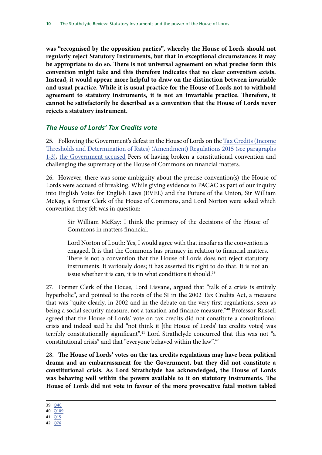<span id="page-13-0"></span>**was "recognised by the opposition parties", whereby the House of Lords should not regularly reject Statutory Instruments, but that in exceptional circumstances it may be appropriate to do so. There is not universal agreement on what precise form this convention might take and this therefore indicates that no clear convention exists. Instead, it would appear more helpful to draw on the distinction between invariable and usual practice. While it is usual practice for the House of Lords not to withhold agreement to statutory instruments, it is not an invariable practice. Therefore, it cannot be satisfactorily be described as a convention that the House of Lords never rejects a statutory instrument.** 

### *The House of Lords' Tax Credits vote*

25. Following the Government's defeat in the House of Lords on the [Tax Credits \(Income](http://www.legislation.gov.uk/ukdsi/2015/9780111138946) [Thresholds and Determination of Rates\) \(Amendment\) Regulations 2015](http://www.legislation.gov.uk/ukdsi/2015/9780111138946) (see paragraphs 1-3)**,** [the Government accused](http://www.theguardian.com/money/2015/oct/26/tax-credit-cuts-halted-as-lords-vote-to-protect-low-income-earners) Peers of having broken a constitutional convention and challenging the supremacy of the House of Commons on financial matters.

26. However, there was some ambiguity about the precise convention(s) the House of Lords were accused of breaking. While giving evidence to PACAC as part of our inquiry into English Votes for English Laws (EVEL) and the Future of the Union, Sir William McKay, a former Clerk of the House of Commons, and Lord Norton were asked which convention they felt was in question:

Sir William McKay: I think the primacy of the decisions of the House of Commons in matters financial.

Lord Norton of Louth: Yes, I would agree with that insofar as the convention is engaged. It is that the Commons has primacy in relation to financial matters. There is not a convention that the House of Lords does not reject statutory instruments. It variously does; it has asserted its right to do that. It is not an issue whether it is can, it is in what conditions it should.<sup>39</sup>

27. Former Clerk of the House, Lord Lisvane, argued that "talk of a crisis is entirely hyperbolic", and pointed to the roots of the SI in the 2002 Tax Credits Act, a measure that was "quite clearly, in 2002 and in the debate on the very first regulations, seen as being a social security measure, not a taxation and finance measure."<sup>40</sup> Professor Russell agreed that the House of Lords' vote on tax credits did not constitute a constitutional crisis and indeed said he did "not think it [the House of Lords' tax credits votes] was terribly constitutionally significant".<sup>41</sup> Lord Strathclyde concurred that this was not "a constitutional crisis" and that "everyone behaved within the law".42

28. **The House of Lords' votes on the tax credits regulations may have been political drama and an embarrassment for the Government, but they did not constitute a constitutional crisis. As Lord Strathclyde has acknowledged, the House of Lords was behaving well within the powers available to it on statutory instruments. The House of Lords did not vote in favour of the more provocative fatal motion tabled** 

39 [Q46](http://data.parliament.uk/writtenevidence/committeeevidence.svc/evidencedocument/public-administration-and-constitutional-affairs-committee/strathclyde-review/oral/27335.pdf)

40 [Q109](http://data.parliament.uk/writtenevidence/committeeevidence.svc/evidencedocument/public-administration-and-constitutional-affairs-committee/strathclyde-review/oral/27335.pdf)

- 41 [Q15](http://data.parliament.uk/writtenevidence/committeeevidence.svc/evidencedocument/public-administration-and-constitutional-affairs-committee/strathclyde-review/oral/27335.pdf)
- 42 [Q76](http://data.parliament.uk/writtenevidence/committeeevidence.svc/evidencedocument/public-administration-and-constitutional-affairs-committee/strathclyde-review/oral/27335.pdf)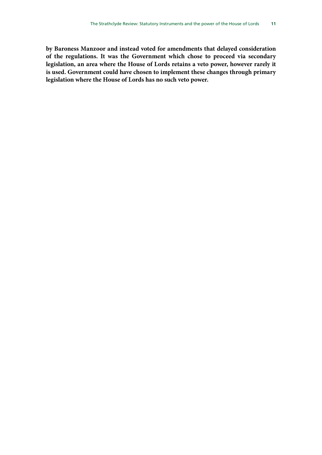**by Baroness Manzoor and instead voted for amendments that delayed consideration of the regulations. It was the Government which chose to proceed via secondary legislation, an area where the House of Lords retains a veto power, however rarely it is used. Government could have chosen to implement these changes through primary legislation where the House of Lords has no such veto power.**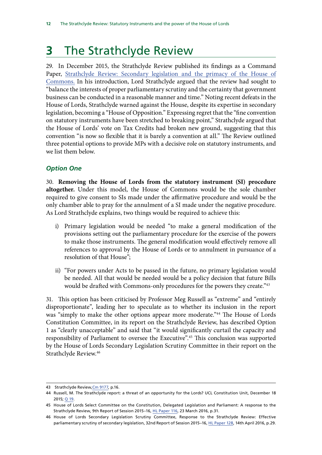# <span id="page-15-0"></span>**3** The Strathclyde Review

29. In December 2015, the Strathclyde Review published its findings as a Command Paper, [Strathclyde Review: Secondary legislation and the primacy of the House of](https://www.gov.uk/government/uploads/system/uploads/attachment_data/file/486791/53088_Cm_9177_PRINT.pdf) [Commons.](https://www.gov.uk/government/uploads/system/uploads/attachment_data/file/486791/53088_Cm_9177_PRINT.pdf) In his introduction, Lord Strathclyde argued that the review had sought to "balance the interests of proper parliamentary scrutiny and the certainty that government business can be conducted in a reasonable manner and time." Noting recent defeats in the House of Lords, Strathclyde warned against the House, despite its expertise in secondary legislation, becoming a "House of Opposition." Expressing regret that the "fine convention on statutory instruments have been stretched to breaking point," Strathclyde argued that the House of Lords' vote on Tax Credits had broken new ground, suggesting that this convention "is now so flexible that it is barely a convention at all." The Review outlined three potential options to provide MPs with a decisive role on statutory instruments, and we list them below.

## *Option One*

30. **Removing the House of Lords from the statutory instrument (SI) procedure altogether.** Under this model, the House of Commons would be the sole chamber required to give consent to SIs made under the affirmative procedure and would be the only chamber able to pray for the annulment of a SI made under the negative procedure. As Lord Strathclyde explains, two things would be required to achieve this:

- i) Primary legislation would be needed "to make a general modification of the provisions setting out the parliamentary procedure for the exercise of the powers to make those instruments. The general modification would effectively remove all references to approval by the House of Lords or to annulment in pursuance of a resolution of that House";
- ii) "For powers under Acts to be passed in the future, no primary legislation would be needed. All that would be needed would be a policy decision that future Bills would be drafted with Commons-only procedures for the powers they create."43

31. This option has been criticised by Professor Meg Russell as "extreme" and "entirely disproportionate", leading her to speculate as to whether its inclusion in the report was "simply to make the other options appear more moderate."<sup>44</sup> The House of Lords Constitution Committee, in its report on the Strathclyde Review, has described Option 1 as "clearly unacceptable" and said that "it would significantly curtail the capacity and responsibility of Parliament to oversee the Executive".<sup>45</sup> This conclusion was supported by the House of Lords Secondary Legislation Scrutiny Committee in their report on the Strathclyde Review.<sup>46</sup>

<sup>43</sup> Strathclyde Review, [Cm 9177](https://www.gov.uk/government/uploads/system/uploads/attachment_data/file/486791/53088_Cm_9177_PRINT.pdf), p.16.

<sup>44</sup> Russell, M. The Strathclyde report: a threat of an opportunity for the Lords? UCL Constitution Unit, December 18 2015; [Q 19.](http://data.parliament.uk/writtenevidence/committeeevidence.svc/evidencedocument/public-administration-and-constitutional-affairs-committee/strathclyde-review/oral/27335.pdf)

<sup>45</sup> House of Lords Select Committee on the Constitution, Delegated Legislation and Parliament: A response to the Strathclyde Review, 9th Report of Session 2015–16, [HL Paper 116](http://www.publications.parliament.uk/pa/ld201516/ldselect/ldconst/116/116.pdf), 23 March 2016, p.31.

<sup>46</sup> House of Lords Secondary Legislation Scrutiny Committee, Response to the Strathclyde Review: Effective parliamentary scrutiny of secondary legislation, 32nd Report of Session 2015–16, [HL Paper 128](file:///C:\Users\ferreiraa\AppData\Local\Microsoft\Windows\Temporary%20Internet%20Files\Content.Outlook\NCAP6EP8\HL%20Paper%20128), 14th April 2016, p.29.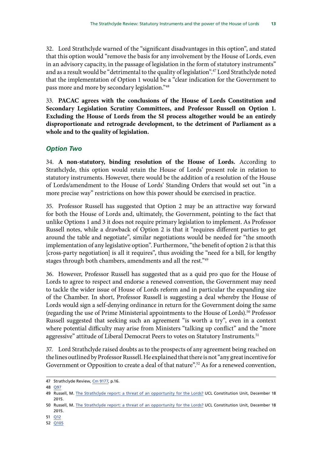<span id="page-16-0"></span>32. Lord Strathclyde warned of the "significant disadvantages in this option", and stated that this option would "remove the basis for any involvement by the House of Lords, even in an advisory capacity, in the passage of legislation in the form of statutory instruments" and as a result would be "detrimental to the quality of legislation".<sup>47</sup> Lord Strathclyde noted that the implementation of Option 1 would be a "clear indication for the Government to pass more and more by secondary legislation."48

33. **PACAC agrees with the conclusions of the House of Lords Constitution and Secondary Legislation Scrutiny Committees, and Professor Russell on Option 1. Excluding the House of Lords from the SI process altogether would be an entirely disproportionate and retrograde development, to the detriment of Parliament as a whole and to the quality of legislation.** 

### *Option Two*

34. **A non-statutory, binding resolution of the House of Lords.** According to Strathclyde, this option would retain the House of Lords' present role in relation to statutory instruments. However, there would be the addition of a resolution of the House of Lords/amendment to the House of Lords' Standing Orders that would set out "in a more precise way" restrictions on how this power should be exercised in practice.

35. Professor Russell has suggested that Option 2 may be an attractive way forward for both the House of Lords and, ultimately, the Government, pointing to the fact that unlike Options 1 and 3 it does not require primary legislation to implement. As Professor Russell notes, while a drawback of Option 2 is that it "requires different parties to get around the table and negotiate", similar negotiations would be needed for "the smooth implementation of any legislative option". Furthermore, "the benefit of option 2 is that this [cross-party negotiation] is all it requires", thus avoiding the "need for a bill, for lengthy stages through both chambers, amendments and all the rest."49

36. However, Professor Russell has suggested that as a quid pro quo for the House of Lords to agree to respect and endorse a renewed convention, the Government may need to tackle the wider issue of House of Lords reform and in particular the expanding size of the Chamber. In short, Professor Russell is suggesting a deal whereby the House of Lords would sign a self-denying ordinance in return for the Government doing the same (regarding the use of Prime Ministerial appointments to the House of Lords).<sup>50</sup> Professor Russell suggested that seeking such an agreement "is worth a try", even in a context where potential difficulty may arise from Ministers "talking up conflict" and the "more aggressive" attitude of Liberal Democrat Peers to votes on Statutory Instruments.<sup>51</sup>

37. Lord Strathclyde raised doubts as to the prospects of any agreement being reached on the lines outlined by Professor Russell. He explained that there is not "any great incentive for Government or Opposition to create a deal of that nature".<sup>52</sup> As for a renewed convention,

<sup>47</sup> Strathclyde Review, [Cm 9177](https://www.gov.uk/government/uploads/system/uploads/attachment_data/file/486791/53088_Cm_9177_PRINT.pdf), p.16.

<sup>48</sup> [Q97](http://data.parliament.uk/writtenevidence/committeeevidence.svc/evidencedocument/public-administration-and-constitutional-affairs-committee/strathclyde-review/oral/27335.pdf) 

<sup>49</sup> Russell, M. [The Strathclyde report: a threat of an opportunity for the Lords?](https://constitution-unit.com/2015/12/18/the-strathclyde-report-a-threat-or-an-opportunity-for-the-lords/) UCL Constitution Unit, December 18 2015.

<sup>50</sup> Russell, M. [The Strathclyde report: a threat of an opportunity for the Lords?](https://constitution-unit.com/2015/12/18/the-strathclyde-report-a-threat-or-an-opportunity-for-the-lords/) UCL Constitution Unit, December 18 2015.

<sup>51</sup> [Q12](http://data.parliament.uk/writtenevidence/committeeevidence.svc/evidencedocument/public-administration-and-constitutional-affairs-committee/strathclyde-review/oral/27335.pdf) 

<sup>52</sup> [Q105](http://data.parliament.uk/writtenevidence/committeeevidence.svc/evidencedocument/public-administration-and-constitutional-affairs-committee/strathclyde-review/oral/27335.pdf)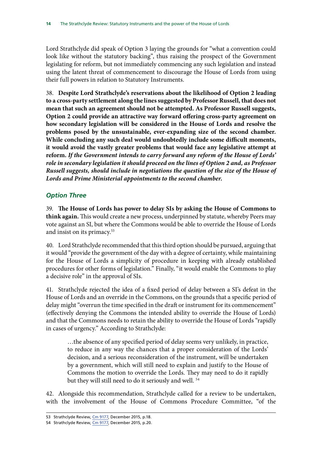<span id="page-17-0"></span>Lord Strathclyde did speak of Option 3 laying the grounds for "what a convention could look like without the statutory backing", thus raising the prospect of the Government legislating for reform, but not immediately commencing any such legislation and instead using the latent threat of commencement to discourage the House of Lords from using their full powers in relation to Statutory Instruments.

38. **Despite Lord Strathclyde's reservations about the likelihood of Option 2 leading to a cross-party settlement along the lines suggested by Professor Russell, that does not mean that such an agreement should not be attempted. As Professor Russell suggests, Option 2 could provide an attractive way forward offering cross-party agreement on how secondary legislation will be considered in the House of Lords and resolve the problems posed by the unsustainable, ever-expanding size of the second chamber. While concluding any such deal would undoubtedly include some difficult moments, it would avoid the vastly greater problems that would face any legislative attempt at reform.** *If the Government intends to carry forward any reform of the House of Lords' role in secondary legislation it should proceed on the lines of Option 2 and, as Professor Russell suggests, should include in negotiations the question of the size of the House of Lords and Prime Ministerial appointments to the second chamber.* 

## *Option Three*

39. **The House of Lords has power to delay SIs by asking the House of Commons to think again.** This would create a new process, underpinned by statute, whereby Peers may vote against an SI, but where the Commons would be able to override the House of Lords and insist on its primacy.<sup>53</sup>

40. Lord Strathclyde recommended that this third option should be pursued, arguing that it would "provide the government of the day with a degree of certainty, while maintaining for the House of Lords a simplicity of procedure in keeping with already established procedures for other forms of legislation." Finally, "it would enable the Commons to play a decisive role" in the approval of SIs.

41. Strathclyde rejected the idea of a fixed period of delay between a SI's defeat in the House of Lords and an override in the Commons, on the grounds that a specific period of delay might "overrun the time specified in the draft or instrument for its commencement" (effectively denying the Commons the intended ability to override the House of Lords) and that the Commons needs to retain the ability to override the House of Lords "rapidly in cases of urgency." According to Strathclyde:

…the absence of any specified period of delay seems very unlikely, in practice, to reduce in any way the chances that a proper consideration of the Lords' decision, and a serious reconsideration of the instrument, will be undertaken by a government, which will still need to explain and justify to the House of Commons the motion to override the Lords. They may need to do it rapidly but they will still need to do it seriously and well.<sup>54</sup>

42. Alongside this recommendation, Strathclyde called for a review to be undertaken, with the involvement of the House of Commons Procedure Committee, "of the

<sup>53</sup> Strathclyde Review, [Cm 9177](https://www.gov.uk/government/uploads/system/uploads/attachment_data/file/486790/53088_Cm_9177_Web_Accessible.pdf), December 2015, p.18.

<sup>54</sup> Strathclyde Review, [Cm 9177](https://www.gov.uk/government/uploads/system/uploads/attachment_data/file/486790/53088_Cm_9177_Web_Accessible.pdf), December 2015, p.20.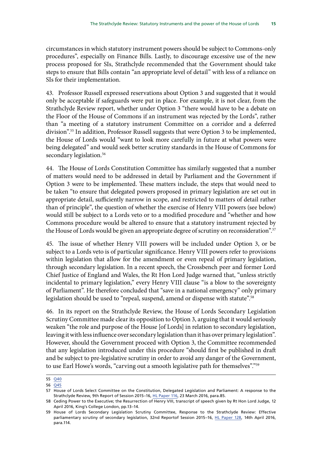circumstances in which statutory instrument powers should be subject to Commons-only procedures", especially on Finance Bills. Lastly, to discourage excessive use of the new process proposed for SIs, Strathclyde recommended that the Government should take steps to ensure that Bills contain "an appropriate level of detail" with less of a reliance on SIs for their implementation.

43. Professor Russell expressed reservations about Option 3 and suggested that it would only be acceptable if safeguards were put in place. For example, it is not clear, from the Strathclyde Review report, whether under Option 3 "there would have to be a debate on the Floor of the House of Commons if an instrument was rejected by the Lords", rather than "a meeting of a statutory instrument Committee on a corridor and a deferred division".<sup>55</sup> In addition, Professor Russell suggests that were Option 3 to be implemented, the House of Lords would "want to look more carefully in future at what powers were being delegated" and would seek better scrutiny standards in the House of Commons for secondary legislation.<sup>56</sup>

44. The House of Lords Constitution Committee has similarly suggested that a number of matters would need to be addressed in detail by Parliament and the Government if Option 3 were to be implemented. These matters include, the steps that would need to be taken "to ensure that delegated powers proposed in primary legislation are set out in appropriate detail, sufficiently narrow in scope, and restricted to matters of detail rather than of principle", the question of whether the exercise of Henry VIII powers (see below) would still be subject to a Lords veto or to a modified procedure and "whether and how Commons procedure would be altered to ensure that a statutory instrument rejected by the House of Lords would be given an appropriate degree of scrutiny on reconsideration".<sup>57</sup>

45. The issue of whether Henry VIII powers will be included under Option 3, or be subject to a Lords veto is of particular significance. Henry VIII powers refer to provisions within legislation that allow for the amendment or even repeal of primary legislation, through secondary legislation. In a recent speech, the Crossbench peer and former Lord Chief Justice of England and Wales, the Rt Hon Lord Judge warned that, "unless strictly incidental to primary legislation," every Henry VIII clause "is a blow to the sovereignty of Parliament". He therefore concluded that "save in a national emergency" only primary legislation should be used to "repeal, suspend, amend or dispense with statute".<sup>58</sup>

46. In its report on the Strathclyde Review, the House of Lords Secondary Legislation Scrutiny Committee made clear its opposition to Option 3, arguing that it would seriously weaken "the role and purpose of the House [of Lords] in relation to secondary legislation, leaving it with less influence over secondary legislation than it has over primary legislation". However, should the Government proceed with Option 3, the Committee recommended that any legislation introduced under this procedure "should first be published in draft and be subject to pre-legislative scrutiny in order to avoid any danger of the Government, to use Earl Howe's words, "carving out a smooth legislative path for themselves"."<sup>59</sup>

<sup>55</sup> [Q40](http://data.parliament.uk/writtenevidence/committeeevidence.svc/evidencedocument/public-administration-and-constitutional-affairs-committee/strathclyde-review/oral/27335.pdf)

<sup>56</sup> [Q45](http://data.parliament.uk/writtenevidence/committeeevidence.svc/evidencedocument/public-administration-and-constitutional-affairs-committee/strathclyde-review/oral/27335.pdf) 

<sup>57</sup> House of Lords Select Committee on the Constitution, Delegated Legislation and Parliament: A response to the Strathclyde Review, 9th Report of Session 2015–16, [HL Paper 116](http://www.publications.parliament.uk/pa/ld201516/ldselect/ldconst/116/116.pdf), 23 March 2016, para.85.

<sup>58</sup> Ceding Power to the Executive; the Resurrection of Henry VIII, transcript of speech given by Rt Hon Lord Judge, 12 April 2016, King's College London, pp.13–14.

<sup>59</sup> House of Lords Secondary Legislation Scrutiny Committee, Response to the Strathclyde Review: Effective parliamentary scrutiny of secondary legislation, 32nd Reportof Session 2015–16, [HL Paper 128](http://www.publications.parliament.uk/pa/ld201516/ldselect/ldsecleg/128/128.pdf), 14th April 2016, para.114.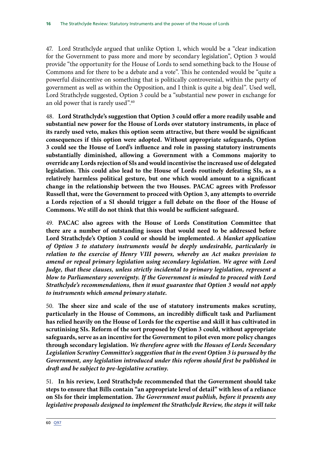47. Lord Strathclyde argued that unlike Option 1, which would be a "clear indication for the Government to pass more and more by secondary legislation", Option 3 would provide "the opportunity for the House of Lords to send something back to the House of Commons and for there to be a debate and a vote". This he contended would be "quite a powerful disincentive on something that is politically controversial, within the party of government as well as within the Opposition, and I think is quite a big deal". Used well, Lord Strathclyde suggested, Option 3 could be a "substantial new power in exchange for an old power that is rarely used".<sup>60</sup>

48. **Lord Strathclyde's suggestion that Option 3 could offer a more readily usable and substantial new power for the House of Lords over statutory instruments, in place of its rarely used veto, makes this option seem attractive, but there would be significant consequences if this option were adopted. Without appropriate safeguards, Option 3 could see the House of Lord's influence and role in passing statutory instruments substantially diminished, allowing a Government with a Commons majority to override any Lords rejection of SIs and would incentivise the increased use of delegated legislation. This could also lead to the House of Lords routinely defeating SIs, as a relatively harmless political gesture, but one which would amount to a significant change in the relationship between the two Houses. PACAC agrees with Professor Russell that, were the Government to proceed with Option 3, any attempts to override a Lords rejection of a SI should trigger a full debate on the floor of the House of Commons. We still do not think that this would be sufficient safeguard.** 

49. **PACAC also agrees with the House of Lords Constitution Committee that there are a number of outstanding issues that would need to be addressed before Lord Strathclyde's Option 3 could or should be implemented.** *A blanket application of Option 3 to statutory instruments would be deeply undesirable, particularly in*  relation to the exercise of Henry VIII powers, whereby an Act makes provision to *amend or repeal primary legislation using secondary legislation. We agree with Lord Judge, that these clauses, unless strictly incidental to primary legislation, represent a blow to Parliamentary sovereignty. If the Government is minded to proceed with Lord Strathclyde's recommendations, then it must guarantee that Option 3 would not apply to instruments which amend primary statute.* 

50. **The sheer size and scale of the use of statutory instruments makes scrutiny, particularly in the House of Commons, an incredibly difficult task and Parliament has relied heavily on the House of Lords for the expertise and skill it has cultivated in scrutinising SIs. Reform of the sort proposed by Option 3 could, without appropriate safeguards, serve as an incentive for the Government to pilot even more policy changes through secondary legislation.** *We therefore agree with the Houses of Lords Secondary Legislation Scrutiny Committee's suggestion that in the event Option 3 is pursued by the Government, any legislation introduced under this reform should first be published in draft and be subject to pre-legislative scrutiny.* 

51. **In his review, Lord Strathclyde recommended that the Government should take steps to ensure that Bills contain "an appropriate level of detail" with less of a reliance on SIs for their implementation.** *The Government must publish, before it presents any legislative proposals designed to implement the Strathclyde Review, the steps it will take*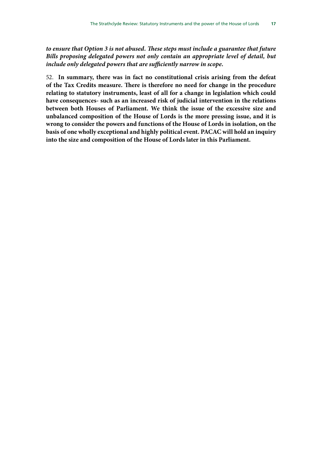*to ensure that Option 3 is not abused. These steps must include a guarantee that future Bills proposing delegated powers not only contain an appropriate level of detail, but include only delegated powers that are sufficiently narrow in scope.* 

52. **In summary, there was in fact no constitutional crisis arising from the defeat of the Tax Credits measure. There is therefore no need for change in the procedure relating to statutory instruments, least of all for a change in legislation which could have consequences- such as an increased risk of judicial intervention in the relations between both Houses of Parliament. We think the issue of the excessive size and unbalanced composition of the House of Lords is the more pressing issue, and it is wrong to consider the powers and functions of the House of Lords in isolation, on the basis of one wholly exceptional and highly political event. PACAC will hold an inquiry into the size and composition of the House of Lords later in this Parliament.**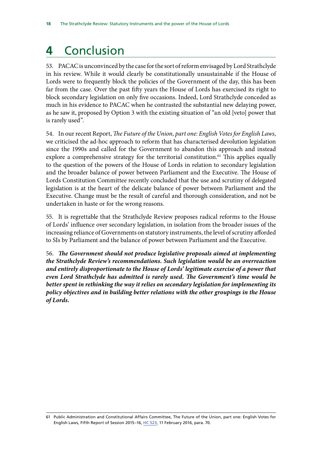# <span id="page-21-0"></span>**4** Conclusion

53. PACAC is unconvinced by the case for the sort of reform envisaged by Lord Strathclyde in his review. While it would clearly be constitutionally unsustainable if the House of Lords were to frequently block the policies of the Government of the day, this has been far from the case. Over the past fifty years the House of Lords has exercised its right to block secondary legislation on only five occasions. Indeed, Lord Strathclyde conceded as much in his evidence to PACAC when he contrasted the substantial new delaying power, as he saw it, proposed by Option 3 with the existing situation of "an old [veto] power that is rarely used".

54. In our recent Report, *The Future of the Union, part one: English Votes for English Laws*, we criticised the ad-hoc approach to reform that has characterised devolution legislation since the 1990s and called for the Government to abandon this approach and instead explore a comprehensive strategy for the territorial constitution.<sup>61</sup> This applies equally to the question of the powers of the House of Lords in relation to secondary legislation and the broader balance of power between Parliament and the Executive. The House of Lords Constitution Committee recently concluded that the use and scrutiny of delegated legislation is at the heart of the delicate balance of power between Parliament and the Executive. Change must be the result of careful and thorough consideration, and not be undertaken in haste or for the wrong reasons.

55. It is regrettable that the Strathclyde Review proposes radical reforms to the House of Lords' influence over secondary legislation, in isolation from the broader issues of the increasing reliance of Governments on statutory instruments, the level of scrutiny afforded to SIs by Parliament and the balance of power between Parliament and the Executive.

56. *The Government should not produce legislative proposals aimed at implementing the Strathclyde Review's recommendations. Such legislation would be an overreaction and entirely disproportionate to the House of Lords' legitimate exercise of a power that even Lord Strathclyde has admitted is rarely used. The Government's time would be better spent in rethinking the way it relies on secondary legislation for implementing its policy objectives and in building better relations with the other groupings in the House of Lords.* 

<sup>61</sup> Public Administration and Constitutional Affairs Committee, The Future of the Union, part one: English Votes for English Laws, Fifth Report of Session 2015–16, [HC 523](http://www.publications.parliament.uk/pa/cm201516/cmselect/cmpubadm/523/523.pdf), 11 February 2016, para. 70.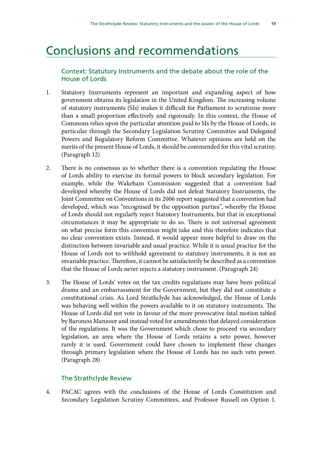## <span id="page-22-0"></span>Conclusions and recommendations

## Context: Statutory Instruments and the debate about the role of the House of Lords

- 1. Statutory Instruments represent an important and expanding aspect of how government obtains its legislation in the United Kingdom. The increasing volume of statutory instruments (SIs) makes it difficult for Parliament to scrutinise more than a small proportion effectively and rigorously. In this context, the House of Commons relies upon the particular attention paid to SIs by the House of Lords, in particular through the Secondary Legislation Scrutiny Committee and Delegated Powers and Regulatory Reform Committee. Whatever opinions are held on the merits of the present House of Lords, it should be commended for this vital scrutiny. (Paragraph 12)
- 2. There is no consensus as to whether there is a convention regulating the House of Lords ability to exercise its formal powers to block secondary legislation. For example, while the Wakeham Commission suggested that a convention had developed whereby the House of Lords did not defeat Statutory Instruments, the Joint Committee on Conventions in its 2006 report suggested that a convention had developed, which was "recognised by the opposition parties", whereby the House of Lords should not regularly reject Statutory Instruments, but that in exceptional circumstances it may be appropriate to do so. There is not universal agreement on what precise form this convention might take and this therefore indicates that no clear convention exists. Instead, it would appear more helpful to draw on the distinction between invariable and usual practice. While it is usual practice for the House of Lords not to withhold agreement to statutory instruments, it is not an invariable practice. Therefore, it cannot be satisfactorily be described as a convention that the House of Lords never rejects a statutory instrument. (Paragraph 24)
- 3. The House of Lords' votes on the tax credits regulations may have been political drama and an embarrassment for the Government, but they did not constitute a constitutional crisis. As Lord Strathclyde has acknowledged, the House of Lords was behaving well within the powers available to it on statutory instruments. The House of Lords did not vote in favour of the more provocative fatal motion tabled by Baroness Manzoor and instead voted for amendments that delayed consideration of the regulations. It was the Government which chose to proceed via secondary legislation, an area where the House of Lords retains a veto power, however rarely it is used. Government could have chosen to implement these changes through primary legislation where the House of Lords has no such veto power. (Paragraph 28)

### The Strathclyde Review

4. PACAC agrees with the conclusions of the House of Lords Constitution and Secondary Legislation Scrutiny Committees, and Professor Russell on Option 1.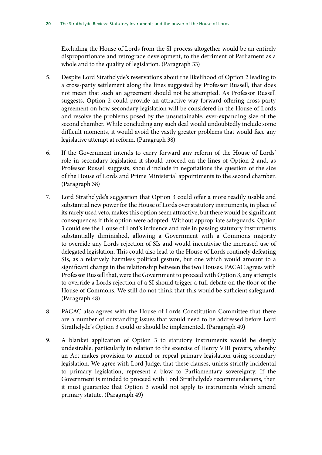Excluding the House of Lords from the SI process altogether would be an entirely disproportionate and retrograde development, to the detriment of Parliament as a whole and to the quality of legislation. (Paragraph 33)

- 5. Despite Lord Strathclyde's reservations about the likelihood of Option 2 leading to a cross-party settlement along the lines suggested by Professor Russell, that does not mean that such an agreement should not be attempted. As Professor Russell suggests, Option 2 could provide an attractive way forward offering cross-party agreement on how secondary legislation will be considered in the House of Lords and resolve the problems posed by the unsustainable, ever-expanding size of the second chamber. While concluding any such deal would undoubtedly include some difficult moments, it would avoid the vastly greater problems that would face any legislative attempt at reform. (Paragraph 38)
- 6. If the Government intends to carry forward any reform of the House of Lords' role in secondary legislation it should proceed on the lines of Option 2 and, as Professor Russell suggests, should include in negotiations the question of the size of the House of Lords and Prime Ministerial appointments to the second chamber. (Paragraph 38)
- 7. Lord Strathclyde's suggestion that Option 3 could offer a more readily usable and substantial new power for the House of Lords over statutory instruments, in place of its rarely used veto, makes this option seem attractive, but there would be significant consequences if this option were adopted. Without appropriate safeguards, Option 3 could see the House of Lord's influence and role in passing statutory instruments substantially diminished, allowing a Government with a Commons majority to override any Lords rejection of SIs and would incentivise the increased use of delegated legislation. This could also lead to the House of Lords routinely defeating SIs, as a relatively harmless political gesture, but one which would amount to a significant change in the relationship between the two Houses. PACAC agrees with Professor Russell that, were the Government to proceed with Option 3, any attempts to override a Lords rejection of a SI should trigger a full debate on the floor of the House of Commons. We still do not think that this would be sufficient safeguard. (Paragraph 48)
- 8. PACAC also agrees with the House of Lords Constitution Committee that there are a number of outstanding issues that would need to be addressed before Lord Strathclyde's Option 3 could or should be implemented. (Paragraph 49)
- 9. A blanket application of Option 3 to statutory instruments would be deeply undesirable, particularly in relation to the exercise of Henry VIII powers, whereby an Act makes provision to amend or repeal primary legislation using secondary legislation. We agree with Lord Judge, that these clauses, unless strictly incidental to primary legislation, represent a blow to Parliamentary sovereignty. If the Government is minded to proceed with Lord Strathclyde's recommendations, then it must guarantee that Option 3 would not apply to instruments which amend primary statute. (Paragraph 49)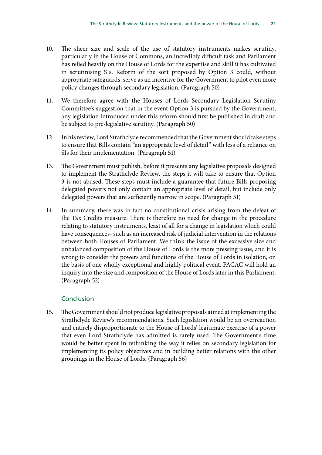- 10. The sheer size and scale of the use of statutory instruments makes scrutiny, particularly in the House of Commons, an incredibly difficult task and Parliament has relied heavily on the House of Lords for the expertise and skill it has cultivated in scrutinising SIs. Reform of the sort proposed by Option 3 could, without appropriate safeguards, serve as an incentive for the Government to pilot even more policy changes through secondary legislation. (Paragraph 50)
- 11. We therefore agree with the Houses of Lords Secondary Legislation Scrutiny Committee's suggestion that in the event Option 3 is pursued by the Government, any legislation introduced under this reform should first be published in draft and be subject to pre-legislative scrutiny. (Paragraph 50)
- 12. In his review, Lord Strathclyde recommended that the Government should take steps to ensure that Bills contain "an appropriate level of detail" with less of a reliance on SIs for their implementation. (Paragraph 51)
- 13. The Government must publish, before it presents any legislative proposals designed to implement the Strathclyde Review, the steps it will take to ensure that Option 3 is not abused. These steps must include a guarantee that future Bills proposing delegated powers not only contain an appropriate level of detail, but include only delegated powers that are sufficiently narrow in scope. (Paragraph 51)
- 14. In summary, there was in fact no constitutional crisis arising from the defeat of the Tax Credits measure. There is therefore no need for change in the procedure relating to statutory instruments, least of all for a change in legislation which could have consequences- such as an increased risk of judicial intervention in the relations between both Houses of Parliament. We think the issue of the excessive size and unbalanced composition of the House of Lords is the more pressing issue, and it is wrong to consider the powers and functions of the House of Lords in isolation, on the basis of one wholly exceptional and highly political event. PACAC will hold an inquiry into the size and composition of the House of Lords later in this Parliament. (Paragraph 52)

## Conclusion

15. The Government should not produce legislative proposals aimed at implementing the Strathclyde Review's recommendations. Such legislation would be an overreaction and entirely disproportionate to the House of Lords' legitimate exercise of a power that even Lord Strathclyde has admitted is rarely used. The Government's time would be better spent in rethinking the way it relies on secondary legislation for implementing its policy objectives and in building better relations with the other groupings in the House of Lords. (Paragraph 56)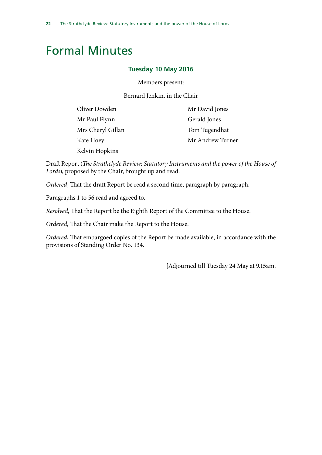# <span id="page-25-0"></span>Formal Minutes

### **Tuesday 10 May 2016**

Members present:

Bernard Jenkin, in the Chair

| Oliver Dowden     | Mr David Jones   |
|-------------------|------------------|
| Mr Paul Flynn     | Gerald Jones     |
| Mrs Cheryl Gillan | Tom Tugendhat    |
| Kate Hoey         | Mr Andrew Turner |
| Kelvin Hopkins    |                  |

Draft Report (*The Strathclyde Review: Statutory Instruments and the power of the House of Lords*), proposed by the Chair, brought up and read.

*Ordered*, That the draft Report be read a second time, paragraph by paragraph.

Paragraphs 1 to 56 read and agreed to.

*Resolved*, That the Report be the Eighth Report of the Committee to the House.

*Ordered*, That the Chair make the Report to the House.

*Ordered*, That embargoed copies of the Report be made available, in accordance with the provisions of Standing Order No. 134.

[Adjourned till Tuesday 24 May at 9.15am.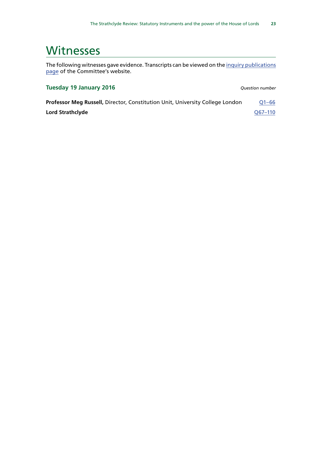## <span id="page-26-0"></span>**Witnesses**

The following witnesses gave evidence. Transcripts can be viewed on the [inquiry publications](http://www.parliament.uk/business/committees/committees-a-z/commons-select/public-administration-and-constitutional-affairs-committee/inquiries/parliament-2015/inquiry1/publications/) [page](http://www.parliament.uk/business/committees/committees-a-z/commons-select/public-administration-and-constitutional-affairs-committee/inquiries/parliament-2015/inquiry1/publications/) of the Committee's website.

### **Tuesday 19 January 2016** *Question number*

**Professor Meg Russell, Director, Constitution Unit, University College London** Q1-66 **Lord Strathclyde COVID-110**